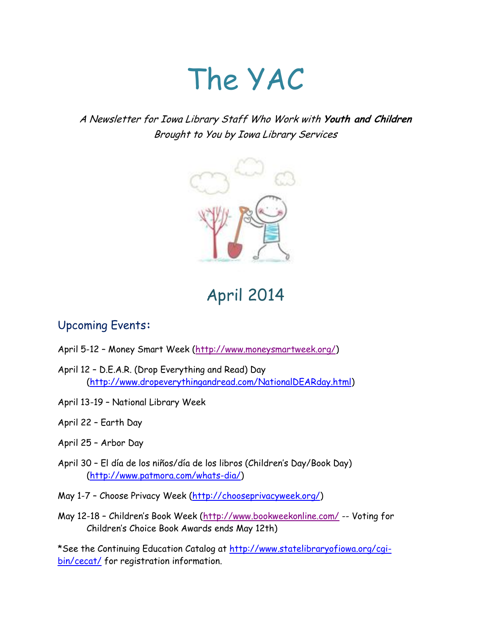# The YAC

# A Newsletter for Iowa Library Staff Who Work with **Youth and Children** Brought to You by Iowa Library Services



# April 2014

# Upcoming Events**:**

- April 5-12 Money Smart Week [\(http://www.moneysmartweek.org/\)](http://www.moneysmartweek.org/)
- April 12 D.E.A.R. (Drop Everything and Read) Day [\(http://www.dropeverythingandread.com/NationalDEARday.html\)](http://www.dropeverythingandread.com/NationalDEARday.html)
- April 13-19 National Library Week
- April 22 Earth Day
- April 25 Arbor Day
- April 30 El día de los niños/día de los libros (Children's Day/Book Day) [\(http://www.patmora.com/whats-dia/\)](http://www.patmora.com/whats-dia/)
- May 1-7 Choose Privacy Week [\(http://chooseprivacyweek.org/\)](http://chooseprivacyweek.org/)
- May 12-18 Children's Book Week (<http://www.bookweekonline.com/> -- Voting for Children's Choice Book Awards ends May 12th)

\*See the Continuing Education Catalog at [http://www.statelibraryofiowa.org/cgi](http://www.statelibraryofiowa.org/cgi-bin/cecat/)[bin/cecat/](http://www.statelibraryofiowa.org/cgi-bin/cecat/) for registration information.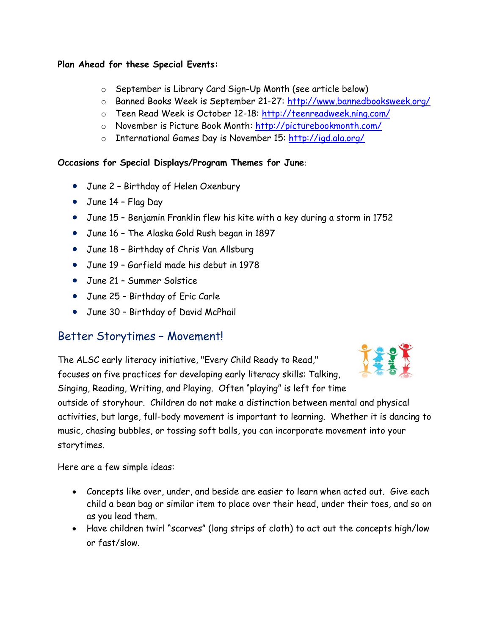#### **Plan Ahead for these Special Events:**

- o September is Library Card Sign-Up Month (see article below)
- o Banned Books Week is September 21-27:<http://www.bannedbooksweek.org/>
- o Teen Read Week is October 12-18:<http://teenreadweek.ning.com/>
- o November is Picture Book Month:<http://picturebookmonth.com/>
- o International Games Day is November 15:<http://igd.ala.org/>

#### **Occasions for Special Displays/Program Themes for June**:

- June 2 Birthday of Helen Oxenbury
- June 14 Flag Day
- June 15 Benjamin Franklin flew his kite with a key during a storm in 1752
- June 16 The Alaska Gold Rush began in 1897
- June 18 Birthday of Chris Van Allsburg
- June 19 Garfield made his debut in 1978
- June 21 Summer Solstice
- June 25 Birthday of Eric Carle
- June 30 Birthday of David McPhail

# Better Storytimes – Movement!

The ALSC early literacy initiative, "Every Child Ready to Read," focuses on five practices for developing early literacy skills: Talking, Singing, Reading, Writing, and Playing. Often "playing" is left for time outside of storyhour. Children do not make a distinction between mental and physical activities, but large, full-body movement is important to learning. Whether it is dancing to music, chasing bubbles, or tossing soft balls, you can incorporate movement into your storytimes.

Here are a few simple ideas:

- Concepts like over, under, and beside are easier to learn when acted out. Give each child a bean bag or similar item to place over their head, under their toes, and so on as you lead them.
- Have children twirl "scarves" (long strips of cloth) to act out the concepts high/low or fast/slow.

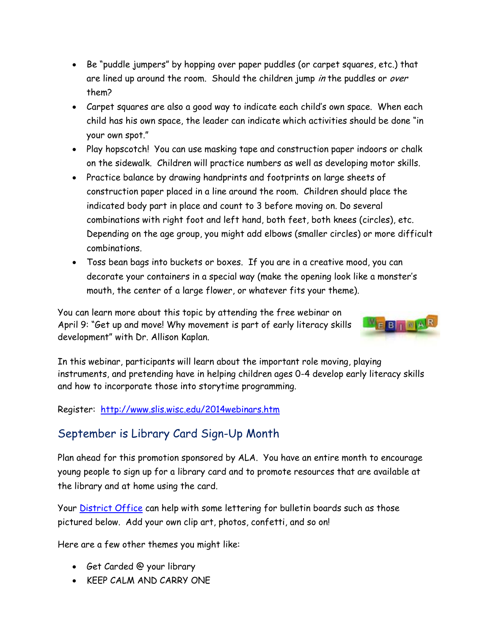- Be "puddle jumpers" by hopping over paper puddles (or carpet squares, etc.) that are lined up around the room. Should the children jump in the puddles or over them?
- Carpet squares are also a good way to indicate each child's own space. When each child has his own space, the leader can indicate which activities should be done "in your own spot."
- Play hopscotch! You can use masking tape and construction paper indoors or chalk on the sidewalk. Children will practice numbers as well as developing motor skills.
- Practice balance by drawing handprints and footprints on large sheets of construction paper placed in a line around the room. Children should place the indicated body part in place and count to 3 before moving on. Do several combinations with right foot and left hand, both feet, both knees (circles), etc. Depending on the age group, you might add elbows (smaller circles) or more difficult combinations.
- Toss bean bags into buckets or boxes. If you are in a creative mood, you can decorate your containers in a special way (make the opening look like a monster's mouth, the center of a large flower, or whatever fits your theme).

You can learn more about this topic by attending the free webinar on April 9: "Get up and move! Why movement is part of early literacy skills development" with Dr. Allison Kaplan.



In this webinar, participants will learn about the important role moving, playing instruments, and pretending have in helping children ages 0-4 develop early literacy skills and how to incorporate those into storytime programming.

Register: <http://www.slis.wisc.edu/2014webinars.htm>

# September is Library Card Sign-Up Month

Plan ahead for this promotion sponsored by ALA. You have an entire month to encourage young people to sign up for a library card and to promote resources that are available at the library and at home using the card.

Your *District Office* can help with some lettering for bulletin boards such as those pictured below. Add your own clip art, photos, confetti, and so on!

Here are a few other themes you might like:

- Get Carded @ your library
- KEEP CALM AND CARRY ONE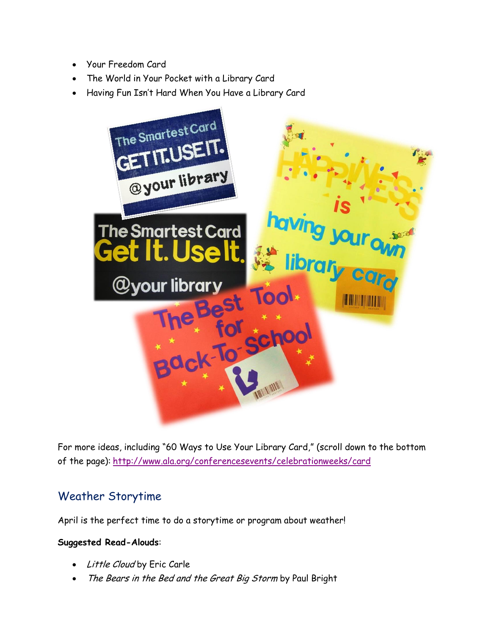- Your Freedom Card
- The World in Your Pocket with a Library Card
- Having Fun Isn't Hard When You Have a Library Card



For more ideas, including "60 Ways to Use Your Library Card," (scroll down to the bottom of the page): <http://www.ala.org/conferencesevents/celebrationweeks/card>

# Weather Storytime

April is the perfect time to do a storytime or program about weather!

#### **Suggested Read-Alouds**:

- Little Cloud by Eric Carle
- The Bears in the Bed and the Great Big Storm by Paul Bright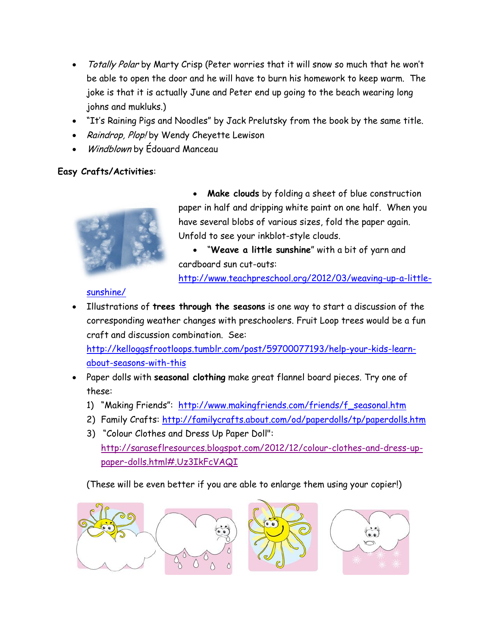- Totally Polar by Marty Crisp (Peter worries that it will snow so much that he won't be able to open the door and he will have to burn his homework to keep warm. The joke is that it is actually June and Peter end up going to the beach wearing long johns and mukluks.)
- "It's Raining Pigs and Noodles" by Jack Prelutsky from the book by the same title.
- Raindrop, Plop! by Wendy Cheyette Lewison
- Windblown by Édouard Manceau

#### **Easy Crafts/Activities**:



 **Make clouds** by folding a sheet of blue construction paper in half and dripping white paint on one half. When you have several blobs of various sizes, fold the paper again. Unfold to see your inkblot-style clouds.

 "**Weave a little sunshine**" with a bit of yarn and cardboard sun cut-outs:

[http://www.teachpreschool.org/2012/03/weaving-up-a-little-](http://www.teachpreschool.org/2012/03/weaving-up-a-little-sunshine/)

#### [sunshine/](http://www.teachpreschool.org/2012/03/weaving-up-a-little-sunshine/)

 Illustrations of **trees through the seasons** is one way to start a discussion of the corresponding weather changes with preschoolers. Fruit Loop trees would be a fun craft and discussion combination. See:

[http://kelloggsfrootloops.tumblr.com/post/59700077193/help-your-kids-learn](http://kelloggsfrootloops.tumblr.com/post/59700077193/help-your-kids-learn-about-seasons-with-this)[about-seasons-with-this](http://kelloggsfrootloops.tumblr.com/post/59700077193/help-your-kids-learn-about-seasons-with-this)

- Paper dolls with **seasonal clothing** make great flannel board pieces. Try one of these:
	- 1) "Making Friends": [http://www.makingfriends.com/friends/f\\_seasonal.htm](http://www.makingfriends.com/friends/f_seasonal.htm)
	- 2) Family Crafts:<http://familycrafts.about.com/od/paperdolls/tp/paperdolls.htm>
	- 3) "Colour Clothes and Dress Up Paper Doll": [http://saraseflresources.blogspot.com/2012/12/colour-clothes-and-dress-up](http://saraseflresources.blogspot.com/2012/12/colour-clothes-and-dress-up-paper-dolls.html#.Uz3IkFcVAQI)[paper-dolls.html#.Uz3IkFcVAQI](http://saraseflresources.blogspot.com/2012/12/colour-clothes-and-dress-up-paper-dolls.html#.Uz3IkFcVAQI)

(These will be even better if you are able to enlarge them using your copier!)

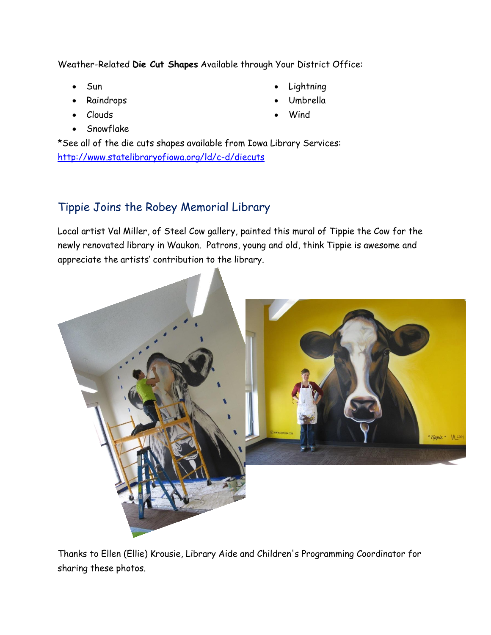Weather-Related **Die Cut Shapes** Available through Your District Office:

- Sun
- Raindrops
- Clouds
- Snowflake
- **Lightning**
- Umbrella
- Wind

\*See all of the die cuts shapes available from Iowa Library Services: <http://www.statelibraryofiowa.org/ld/c-d/diecuts>

# Tippie Joins the Robey Memorial Library

Local artist Val Miller, of Steel Cow gallery, painted this mural of Tippie the Cow for the newly renovated library in Waukon. Patrons, young and old, think Tippie is awesome and appreciate the artists' contribution to the library.



Thanks to Ellen (Ellie) Krousie, Library Aide and Children's Programming Coordinator for sharing these photos.